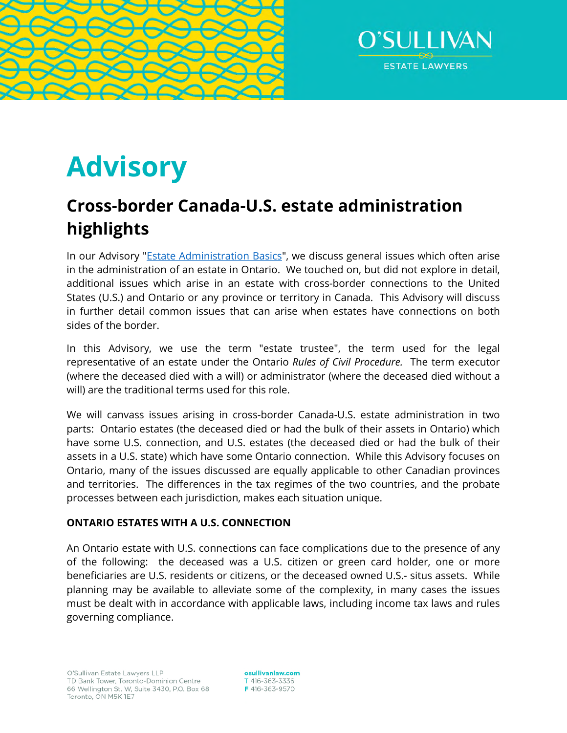



# **Advisory**

# **Cross-border Canada-U.S. estate administration highlights**

In our Advisory "[Estate Administration Basics"](http://www.osullivanlaw.com/Advisory-Letters/Estate-Administration-Basics.pdf), we discuss general issues which often arise in the administration of an estate in Ontario. We touched on, but did not explore in detail, additional issues which arise in an estate with cross-border connections to the United States (U.S.) and Ontario or any province or territory in Canada. This Advisory will discuss in further detail common issues that can arise when estates have connections on both sides of the border.

In this Advisory, we use the term "estate trustee", the term used for the legal representative of an estate under the Ontario *Rules of Civil Procedure.* The term executor (where the deceased died with a will) or administrator (where the deceased died without a will) are the traditional terms used for this role.

We will canvass issues arising in cross-border Canada-U.S. estate administration in two parts: Ontario estates (the deceased died or had the bulk of their assets in Ontario) which have some U.S. connection, and U.S. estates (the deceased died or had the bulk of their assets in a U.S. state) which have some Ontario connection. While this Advisory focuses on Ontario, many of the issues discussed are equally applicable to other Canadian provinces and territories. The differences in the tax regimes of the two countries, and the probate processes between each jurisdiction, makes each situation unique.

# **ONTARIO ESTATES WITH A U.S. CONNECTION**

An Ontario estate with U.S. connections can face complications due to the presence of any of the following: the deceased was a U.S. citizen or green card holder, one or more beneficiaries are U.S. residents or citizens, or the deceased owned U.S.- situs assets. While planning may be available to alleviate some of the complexity, in many cases the issues must be dealt with in accordance with applicable laws, including income tax laws and rules governing compliance.

osullivanlaw.com T 416-363-3336 F 416-363-9570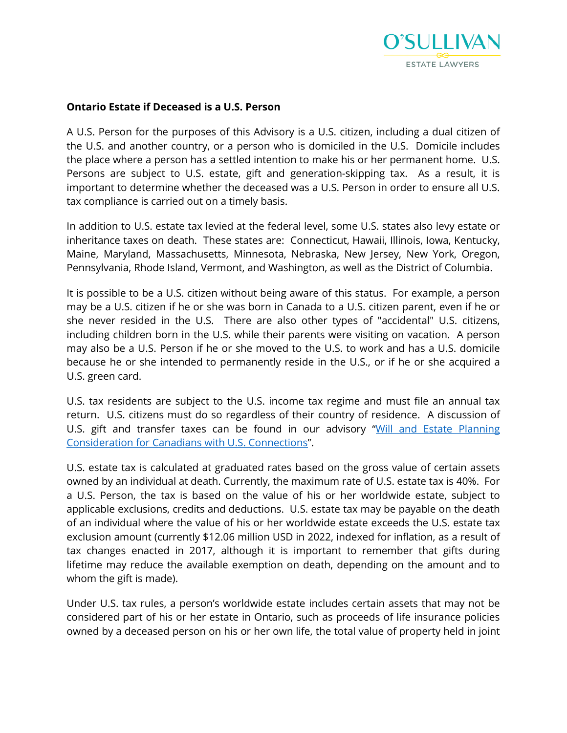

#### **Ontario Estate if Deceased is a U.S. Person**

A U.S. Person for the purposes of this Advisory is a U.S. citizen, including a dual citizen of the U.S. and another country, or a person who is domiciled in the U.S. Domicile includes the place where a person has a settled intention to make his or her permanent home. U.S. Persons are subject to U.S. estate, gift and generation-skipping tax. As a result, it is important to determine whether the deceased was a U.S. Person in order to ensure all U.S. tax compliance is carried out on a timely basis.

In addition to U.S. estate tax levied at the federal level, some U.S. states also levy estate or inheritance taxes on death. These states are: Connecticut, Hawaii, Illinois, Iowa, Kentucky, Maine, Maryland, Massachusetts, Minnesota, Nebraska, New Jersey, New York, Oregon, Pennsylvania, Rhode Island, Vermont, and Washington, as well as the District of Columbia.

It is possible to be a U.S. citizen without being aware of this status. For example, a person may be a U.S. citizen if he or she was born in Canada to a U.S. citizen parent, even if he or she never resided in the U.S. There are also other types of "accidental" U.S. citizens, including children born in the U.S. while their parents were visiting on vacation. A person may also be a U.S. Person if he or she moved to the U.S. to work and has a U.S. domicile because he or she intended to permanently reside in the U.S., or if he or she acquired a U.S. green card.

U.S. tax residents are subject to the U.S. income tax regime and must file an annual tax return. U.S. citizens must do so regardless of their country of residence. A discussion of U.S. gift and transfer taxes can be found in our advisory "[Will and Estate Planning](http://www.osullivanlaw.com/Advisory-Letters/Will-and-Estate-Planning-Considerations-for-Canadians-with-US-Connections.pdf)  [Consideration for Canadians with U.S. Connections".](http://www.osullivanlaw.com/Advisory-Letters/Will-and-Estate-Planning-Considerations-for-Canadians-with-US-Connections.pdf)

U.S. estate tax is calculated at graduated rates based on the gross value of certain assets owned by an individual at death. Currently, the maximum rate of U.S. estate tax is 40%. For a U.S. Person, the tax is based on the value of his or her worldwide estate, subject to applicable exclusions, credits and deductions. U.S. estate tax may be payable on the death of an individual where the value of his or her worldwide estate exceeds the U.S. estate tax exclusion amount (currently \$12.06 million USD in 2022, indexed for inflation, as a result of tax changes enacted in 2017, although it is important to remember that gifts during lifetime may reduce the available exemption on death, depending on the amount and to whom the gift is made).

Under U.S. tax rules, a person's worldwide estate includes certain assets that may not be considered part of his or her estate in Ontario, such as proceeds of life insurance policies owned by a deceased person on his or her own life, the total value of property held in joint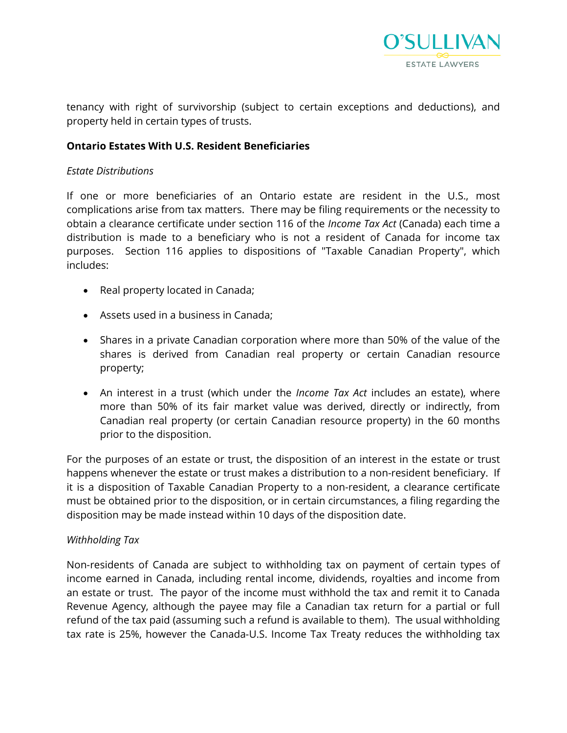

tenancy with right of survivorship (subject to certain exceptions and deductions), and property held in certain types of trusts.

### **Ontario Estates With U.S. Resident Beneficiaries**

#### *Estate Distributions*

If one or more beneficiaries of an Ontario estate are resident in the U.S., most complications arise from tax matters. There may be filing requirements or the necessity to obtain a clearance certificate under section 116 of the *Income Tax Act* (Canada) each time a distribution is made to a beneficiary who is not a resident of Canada for income tax purposes. Section 116 applies to dispositions of "Taxable Canadian Property", which includes:

- Real property located in Canada;
- Assets used in a business in Canada;
- Shares in a private Canadian corporation where more than 50% of the value of the shares is derived from Canadian real property or certain Canadian resource property;
- An interest in a trust (which under the *Income Tax Act* includes an estate), where more than 50% of its fair market value was derived, directly or indirectly, from Canadian real property (or certain Canadian resource property) in the 60 months prior to the disposition.

For the purposes of an estate or trust, the disposition of an interest in the estate or trust happens whenever the estate or trust makes a distribution to a non-resident beneficiary. If it is a disposition of Taxable Canadian Property to a non-resident, a clearance certificate must be obtained prior to the disposition, or in certain circumstances, a filing regarding the disposition may be made instead within 10 days of the disposition date.

#### *Withholding Tax*

Non-residents of Canada are subject to withholding tax on payment of certain types of income earned in Canada, including rental income, dividends, royalties and income from an estate or trust. The payor of the income must withhold the tax and remit it to Canada Revenue Agency, although the payee may file a Canadian tax return for a partial or full refund of the tax paid (assuming such a refund is available to them). The usual withholding tax rate is 25%, however the Canada-U.S. Income Tax Treaty reduces the withholding tax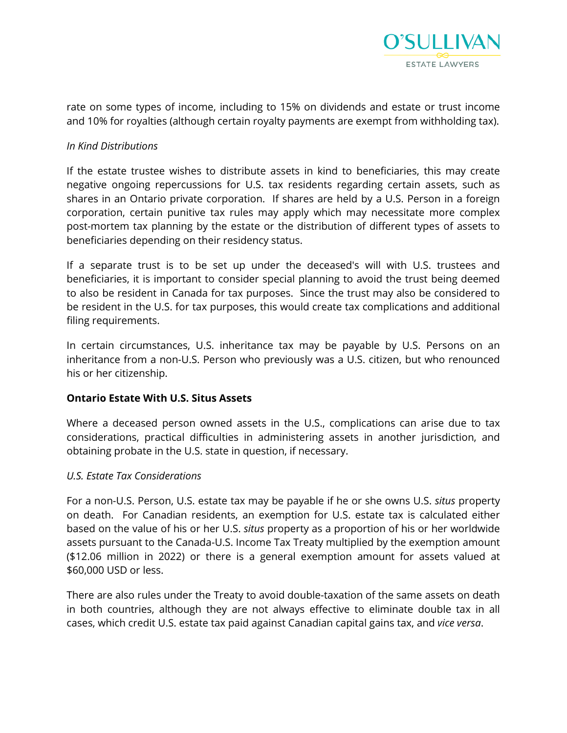

rate on some types of income, including to 15% on dividends and estate or trust income and 10% for royalties (although certain royalty payments are exempt from withholding tax).

#### *In Kind Distributions*

If the estate trustee wishes to distribute assets in kind to beneficiaries, this may create negative ongoing repercussions for U.S. tax residents regarding certain assets, such as shares in an Ontario private corporation. If shares are held by a U.S. Person in a foreign corporation, certain punitive tax rules may apply which may necessitate more complex post-mortem tax planning by the estate or the distribution of different types of assets to beneficiaries depending on their residency status.

If a separate trust is to be set up under the deceased's will with U.S. trustees and beneficiaries, it is important to consider special planning to avoid the trust being deemed to also be resident in Canada for tax purposes. Since the trust may also be considered to be resident in the U.S. for tax purposes, this would create tax complications and additional filing requirements.

In certain circumstances, U.S. inheritance tax may be payable by U.S. Persons on an inheritance from a non-U.S. Person who previously was a U.S. citizen, but who renounced his or her citizenship.

#### **Ontario Estate With U.S. Situs Assets**

Where a deceased person owned assets in the U.S., complications can arise due to tax considerations, practical difficulties in administering assets in another jurisdiction, and obtaining probate in the U.S. state in question, if necessary.

#### *U.S. Estate Tax Considerations*

For a non-U.S. Person, U.S. estate tax may be payable if he or she owns U.S. *situs* property on death. For Canadian residents, an exemption for U.S. estate tax is calculated either based on the value of his or her U.S. *situs* property as a proportion of his or her worldwide assets pursuant to the Canada-U.S. Income Tax Treaty multiplied by the exemption amount (\$12.06 million in 2022) or there is a general exemption amount for assets valued at \$60,000 USD or less.

There are also rules under the Treaty to avoid double-taxation of the same assets on death in both countries, although they are not always effective to eliminate double tax in all cases, which credit U.S. estate tax paid against Canadian capital gains tax, and *vice versa*.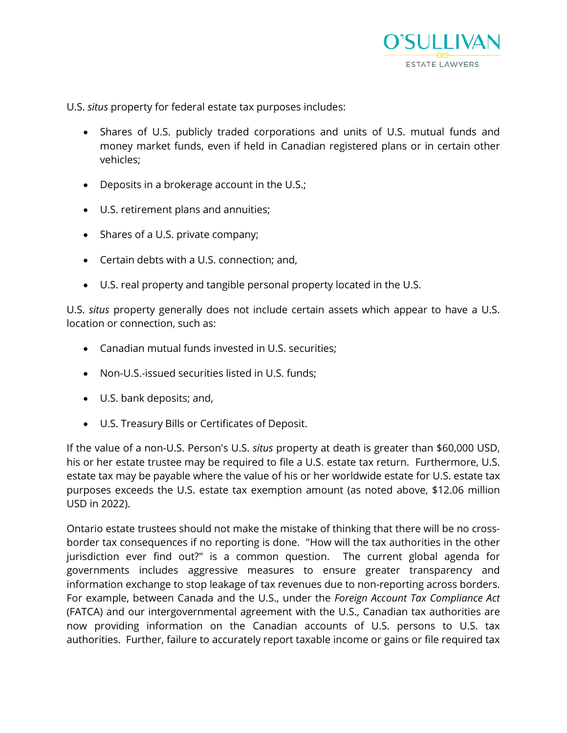

U.S. *situs* property for federal estate tax purposes includes:

- Shares of U.S. publicly traded corporations and units of U.S. mutual funds and money market funds, even if held in Canadian registered plans or in certain other vehicles;
- Deposits in a brokerage account in the U.S.;
- U.S. retirement plans and annuities;
- Shares of a U.S. private company;
- Certain debts with a U.S. connection; and,
- U.S. real property and tangible personal property located in the U.S.

U.S. *situs* property generally does not include certain assets which appear to have a U.S. location or connection, such as:

- Canadian mutual funds invested in U.S. securities;
- Non-U.S.-issued securities listed in U.S. funds;
- U.S. bank deposits; and,
- U.S. Treasury Bills or Certificates of Deposit.

If the value of a non-U.S. Person's U.S. *situs* property at death is greater than \$60,000 USD, his or her estate trustee may be required to file a U.S. estate tax return. Furthermore, U.S. estate tax may be payable where the value of his or her worldwide estate for U.S. estate tax purposes exceeds the U.S. estate tax exemption amount (as noted above, \$12.06 million USD in 2022).

Ontario estate trustees should not make the mistake of thinking that there will be no crossborder tax consequences if no reporting is done. "How will the tax authorities in the other jurisdiction ever find out?" is a common question. The current global agenda for governments includes aggressive measures to ensure greater transparency and information exchange to stop leakage of tax revenues due to non-reporting across borders. For example, between Canada and the U.S., under the *Foreign Account Tax Compliance Act*  (FATCA) and our intergovernmental agreement with the U.S., Canadian tax authorities are now providing information on the Canadian accounts of U.S. persons to U.S. tax authorities. Further, failure to accurately report taxable income or gains or file required tax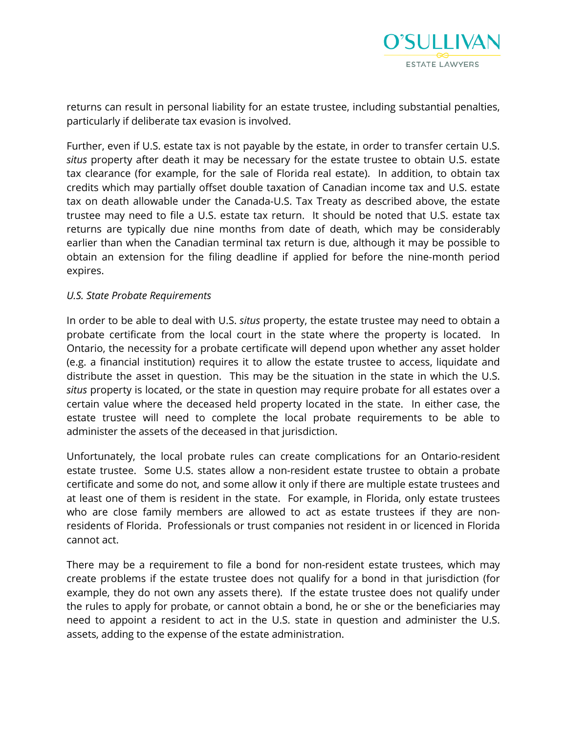

returns can result in personal liability for an estate trustee, including substantial penalties, particularly if deliberate tax evasion is involved.

Further, even if U.S. estate tax is not payable by the estate, in order to transfer certain U.S. *situs* property after death it may be necessary for the estate trustee to obtain U.S. estate tax clearance (for example, for the sale of Florida real estate). In addition, to obtain tax credits which may partially offset double taxation of Canadian income tax and U.S. estate tax on death allowable under the Canada-U.S. Tax Treaty as described above, the estate trustee may need to file a U.S. estate tax return. It should be noted that U.S. estate tax returns are typically due nine months from date of death, which may be considerably earlier than when the Canadian terminal tax return is due, although it may be possible to obtain an extension for the filing deadline if applied for before the nine-month period expires.

#### *U.S. State Probate Requirements*

In order to be able to deal with U.S. *situs* property, the estate trustee may need to obtain a probate certificate from the local court in the state where the property is located. In Ontario, the necessity for a probate certificate will depend upon whether any asset holder (e.g. a financial institution) requires it to allow the estate trustee to access, liquidate and distribute the asset in question. This may be the situation in the state in which the U.S. *situs* property is located, or the state in question may require probate for all estates over a certain value where the deceased held property located in the state. In either case, the estate trustee will need to complete the local probate requirements to be able to administer the assets of the deceased in that jurisdiction.

Unfortunately, the local probate rules can create complications for an Ontario-resident estate trustee. Some U.S. states allow a non-resident estate trustee to obtain a probate certificate and some do not, and some allow it only if there are multiple estate trustees and at least one of them is resident in the state. For example, in Florida, only estate trustees who are close family members are allowed to act as estate trustees if they are nonresidents of Florida. Professionals or trust companies not resident in or licenced in Florida cannot act.

There may be a requirement to file a bond for non-resident estate trustees, which may create problems if the estate trustee does not qualify for a bond in that jurisdiction (for example, they do not own any assets there). If the estate trustee does not qualify under the rules to apply for probate, or cannot obtain a bond, he or she or the beneficiaries may need to appoint a resident to act in the U.S. state in question and administer the U.S. assets, adding to the expense of the estate administration.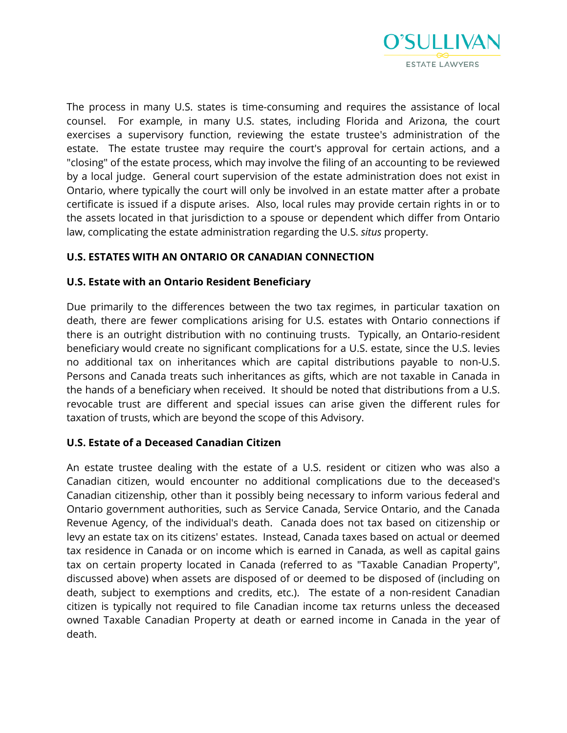

The process in many U.S. states is time-consuming and requires the assistance of local counsel. For example, in many U.S. states, including Florida and Arizona, the court exercises a supervisory function, reviewing the estate trustee's administration of the estate. The estate trustee may require the court's approval for certain actions, and a "closing" of the estate process, which may involve the filing of an accounting to be reviewed by a local judge. General court supervision of the estate administration does not exist in Ontario, where typically the court will only be involved in an estate matter after a probate certificate is issued if a dispute arises. Also, local rules may provide certain rights in or to the assets located in that jurisdiction to a spouse or dependent which differ from Ontario law, complicating the estate administration regarding the U.S. *situs* property.

# **U.S. ESTATES WITH AN ONTARIO OR CANADIAN CONNECTION**

# **U.S. Estate with an Ontario Resident Beneficiary**

Due primarily to the differences between the two tax regimes, in particular taxation on death, there are fewer complications arising for U.S. estates with Ontario connections if there is an outright distribution with no continuing trusts. Typically, an Ontario-resident beneficiary would create no significant complications for a U.S. estate, since the U.S. levies no additional tax on inheritances which are capital distributions payable to non-U.S. Persons and Canada treats such inheritances as gifts, which are not taxable in Canada in the hands of a beneficiary when received. It should be noted that distributions from a U.S. revocable trust are different and special issues can arise given the different rules for taxation of trusts, which are beyond the scope of this Advisory.

# **U.S. Estate of a Deceased Canadian Citizen**

An estate trustee dealing with the estate of a U.S. resident or citizen who was also a Canadian citizen, would encounter no additional complications due to the deceased's Canadian citizenship, other than it possibly being necessary to inform various federal and Ontario government authorities, such as Service Canada, Service Ontario, and the Canada Revenue Agency, of the individual's death. Canada does not tax based on citizenship or levy an estate tax on its citizens' estates. Instead, Canada taxes based on actual or deemed tax residence in Canada or on income which is earned in Canada, as well as capital gains tax on certain property located in Canada (referred to as "Taxable Canadian Property", discussed above) when assets are disposed of or deemed to be disposed of (including on death, subject to exemptions and credits, etc.). The estate of a non-resident Canadian citizen is typically not required to file Canadian income tax returns unless the deceased owned Taxable Canadian Property at death or earned income in Canada in the year of death.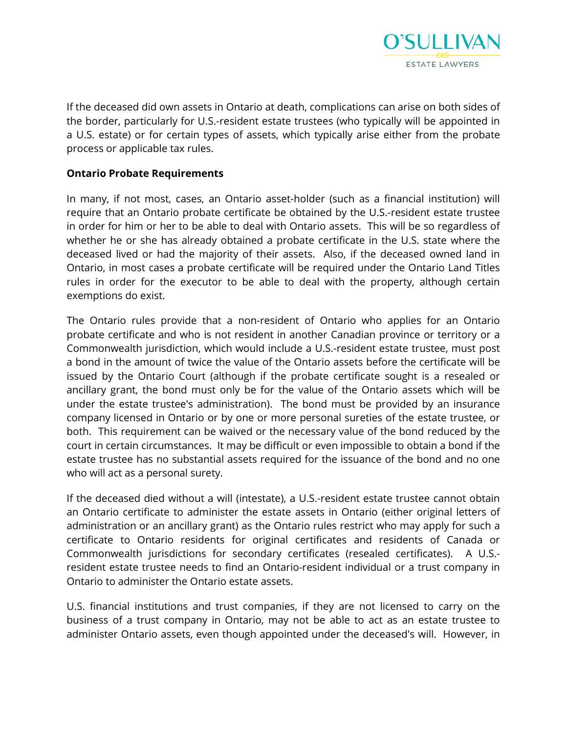

If the deceased did own assets in Ontario at death, complications can arise on both sides of the border, particularly for U.S.-resident estate trustees (who typically will be appointed in a U.S. estate) or for certain types of assets, which typically arise either from the probate process or applicable tax rules.

#### **Ontario Probate Requirements**

In many, if not most, cases, an Ontario asset-holder (such as a financial institution) will require that an Ontario probate certificate be obtained by the U.S.-resident estate trustee in order for him or her to be able to deal with Ontario assets. This will be so regardless of whether he or she has already obtained a probate certificate in the U.S. state where the deceased lived or had the majority of their assets. Also, if the deceased owned land in Ontario, in most cases a probate certificate will be required under the Ontario Land Titles rules in order for the executor to be able to deal with the property, although certain exemptions do exist.

The Ontario rules provide that a non-resident of Ontario who applies for an Ontario probate certificate and who is not resident in another Canadian province or territory or a Commonwealth jurisdiction, which would include a U.S.-resident estate trustee, must post a bond in the amount of twice the value of the Ontario assets before the certificate will be issued by the Ontario Court (although if the probate certificate sought is a resealed or ancillary grant, the bond must only be for the value of the Ontario assets which will be under the estate trustee's administration). The bond must be provided by an insurance company licensed in Ontario or by one or more personal sureties of the estate trustee, or both. This requirement can be waived or the necessary value of the bond reduced by the court in certain circumstances. It may be difficult or even impossible to obtain a bond if the estate trustee has no substantial assets required for the issuance of the bond and no one who will act as a personal surety.

If the deceased died without a will (intestate), a U.S.-resident estate trustee cannot obtain an Ontario certificate to administer the estate assets in Ontario (either original letters of administration or an ancillary grant) as the Ontario rules restrict who may apply for such a certificate to Ontario residents for original certificates and residents of Canada or Commonwealth jurisdictions for secondary certificates (resealed certificates). A U.S. resident estate trustee needs to find an Ontario-resident individual or a trust company in Ontario to administer the Ontario estate assets.

U.S. financial institutions and trust companies, if they are not licensed to carry on the business of a trust company in Ontario, may not be able to act as an estate trustee to administer Ontario assets, even though appointed under the deceased's will. However, in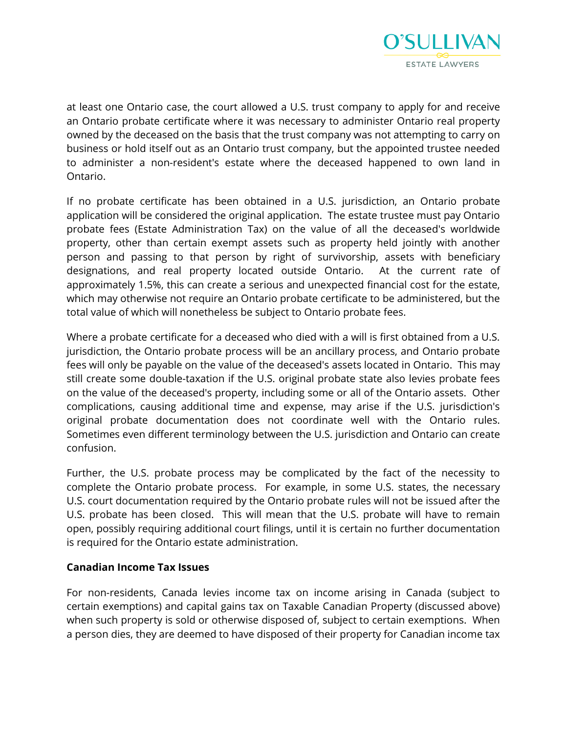

at least one Ontario case, the court allowed a U.S. trust company to apply for and receive an Ontario probate certificate where it was necessary to administer Ontario real property owned by the deceased on the basis that the trust company was not attempting to carry on business or hold itself out as an Ontario trust company, but the appointed trustee needed to administer a non-resident's estate where the deceased happened to own land in Ontario.

If no probate certificate has been obtained in a U.S. jurisdiction, an Ontario probate application will be considered the original application. The estate trustee must pay Ontario probate fees (Estate Administration Tax) on the value of all the deceased's worldwide property, other than certain exempt assets such as property held jointly with another person and passing to that person by right of survivorship, assets with beneficiary designations, and real property located outside Ontario. At the current rate of approximately 1.5%, this can create a serious and unexpected financial cost for the estate, which may otherwise not require an Ontario probate certificate to be administered, but the total value of which will nonetheless be subject to Ontario probate fees.

Where a probate certificate for a deceased who died with a will is first obtained from a U.S. jurisdiction, the Ontario probate process will be an ancillary process, and Ontario probate fees will only be payable on the value of the deceased's assets located in Ontario. This may still create some double-taxation if the U.S. original probate state also levies probate fees on the value of the deceased's property, including some or all of the Ontario assets. Other complications, causing additional time and expense, may arise if the U.S. jurisdiction's original probate documentation does not coordinate well with the Ontario rules. Sometimes even different terminology between the U.S. jurisdiction and Ontario can create confusion.

Further, the U.S. probate process may be complicated by the fact of the necessity to complete the Ontario probate process. For example, in some U.S. states, the necessary U.S. court documentation required by the Ontario probate rules will not be issued after the U.S. probate has been closed. This will mean that the U.S. probate will have to remain open, possibly requiring additional court filings, until it is certain no further documentation is required for the Ontario estate administration.

# **Canadian Income Tax Issues**

For non-residents, Canada levies income tax on income arising in Canada (subject to certain exemptions) and capital gains tax on Taxable Canadian Property (discussed above) when such property is sold or otherwise disposed of, subject to certain exemptions. When a person dies, they are deemed to have disposed of their property for Canadian income tax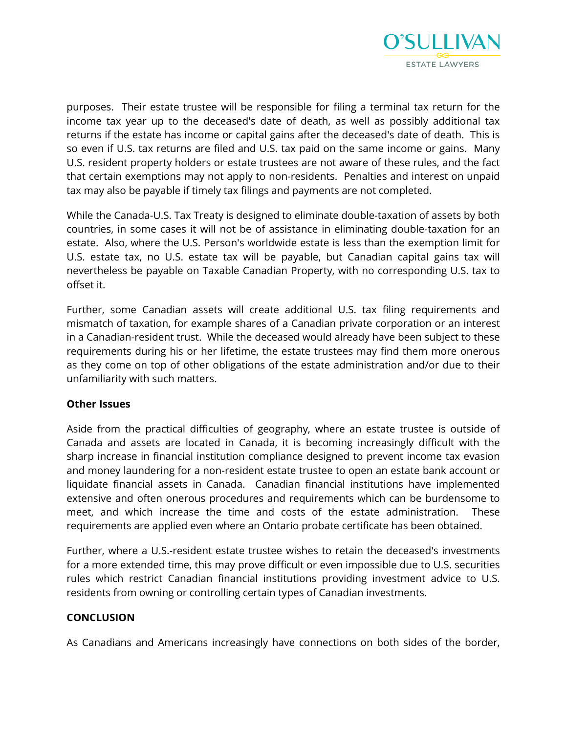

purposes. Their estate trustee will be responsible for filing a terminal tax return for the income tax year up to the deceased's date of death, as well as possibly additional tax returns if the estate has income or capital gains after the deceased's date of death. This is so even if U.S. tax returns are filed and U.S. tax paid on the same income or gains. Many U.S. resident property holders or estate trustees are not aware of these rules, and the fact that certain exemptions may not apply to non-residents. Penalties and interest on unpaid tax may also be payable if timely tax filings and payments are not completed.

While the Canada-U.S. Tax Treaty is designed to eliminate double-taxation of assets by both countries, in some cases it will not be of assistance in eliminating double-taxation for an estate. Also, where the U.S. Person's worldwide estate is less than the exemption limit for U.S. estate tax, no U.S. estate tax will be payable, but Canadian capital gains tax will nevertheless be payable on Taxable Canadian Property, with no corresponding U.S. tax to offset it.

Further, some Canadian assets will create additional U.S. tax filing requirements and mismatch of taxation, for example shares of a Canadian private corporation or an interest in a Canadian-resident trust. While the deceased would already have been subject to these requirements during his or her lifetime, the estate trustees may find them more onerous as they come on top of other obligations of the estate administration and/or due to their unfamiliarity with such matters.

# **Other Issues**

Aside from the practical difficulties of geography, where an estate trustee is outside of Canada and assets are located in Canada, it is becoming increasingly difficult with the sharp increase in financial institution compliance designed to prevent income tax evasion and money laundering for a non-resident estate trustee to open an estate bank account or liquidate financial assets in Canada. Canadian financial institutions have implemented extensive and often onerous procedures and requirements which can be burdensome to meet, and which increase the time and costs of the estate administration. These requirements are applied even where an Ontario probate certificate has been obtained.

Further, where a U.S.-resident estate trustee wishes to retain the deceased's investments for a more extended time, this may prove difficult or even impossible due to U.S. securities rules which restrict Canadian financial institutions providing investment advice to U.S. residents from owning or controlling certain types of Canadian investments.

# **CONCLUSION**

As Canadians and Americans increasingly have connections on both sides of the border,